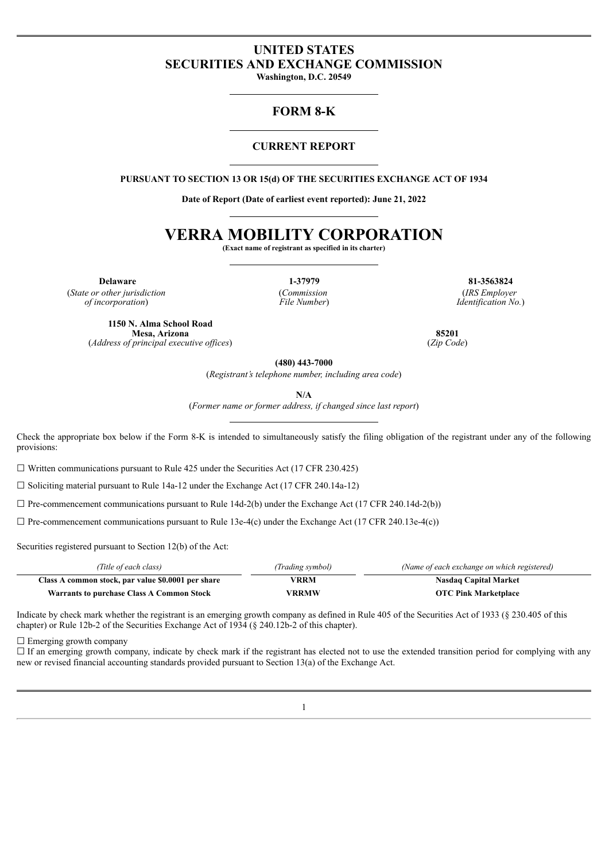# **UNITED STATES SECURITIES AND EXCHANGE COMMISSION**

**Washington, D.C. 20549**

## **FORM 8-K**

### **CURRENT REPORT**

**PURSUANT TO SECTION 13 OR 15(d) OF THE SECURITIES EXCHANGE ACT OF 1934**

**Date of Report (Date of earliest event reported): June 21, 2022**

# **VERRA MOBILITY CORPORATION**

**(Exact name of registrant as specified in its charter)**

(*State or other jurisdiction of incorporation*)

(*Commission File Number*)

**Delaware 1-37979 81-3563824** (*IRS Employer Identification No.*)

**1150 N. Alma School Road Mesa, Arizona** (*Address of principal executive of ices*)

**85201** (*Zip Code*)

**(480) 443-7000**

(*Registrant's telephone number, including area code*)

**N/A**

(*Former name or former address, if changed since last report*)

Check the appropriate box below if the Form 8-K is intended to simultaneously satisfy the filing obligation of the registrant under any of the following provisions:

 $\Box$  Written communications pursuant to Rule 425 under the Securities Act (17 CFR 230.425)

 $\Box$  Soliciting material pursuant to Rule 14a-12 under the Exchange Act (17 CFR 240.14a-12)

 $\Box$  Pre-commencement communications pursuant to Rule 14d-2(b) under the Exchange Act (17 CFR 240.14d-2(b))

 $\Box$  Pre-commencement communications pursuant to Rule 13e-4(c) under the Exchange Act (17 CFR 240.13e-4(c))

Securities registered pursuant to Section 12(b) of the Act:

| (Title of each class)                              | (Trading symbol) | (Name of each exchange on which registered) |
|----------------------------------------------------|------------------|---------------------------------------------|
| Class A common stock, par value \$0.0001 per share | VRRM             | <b>Nasdaq Capital Market</b>                |
| <b>Warrants to purchase Class A Common Stock</b>   | VRRMW            | <b>OTC Pink Marketplace</b>                 |

Indicate by check mark whether the registrant is an emerging growth company as defined in Rule 405 of the Securities Act of 1933 (§ 230.405 of this chapter) or Rule 12b-2 of the Securities Exchange Act of 1934 (§ 240.12b-2 of this chapter).

 $\Box$  Emerging growth company

 $\Box$  If an emerging growth company, indicate by check mark if the registrant has elected not to use the extended transition period for complying with any new or revised financial accounting standards provided pursuant to Section 13(a) of the Exchange Act.

1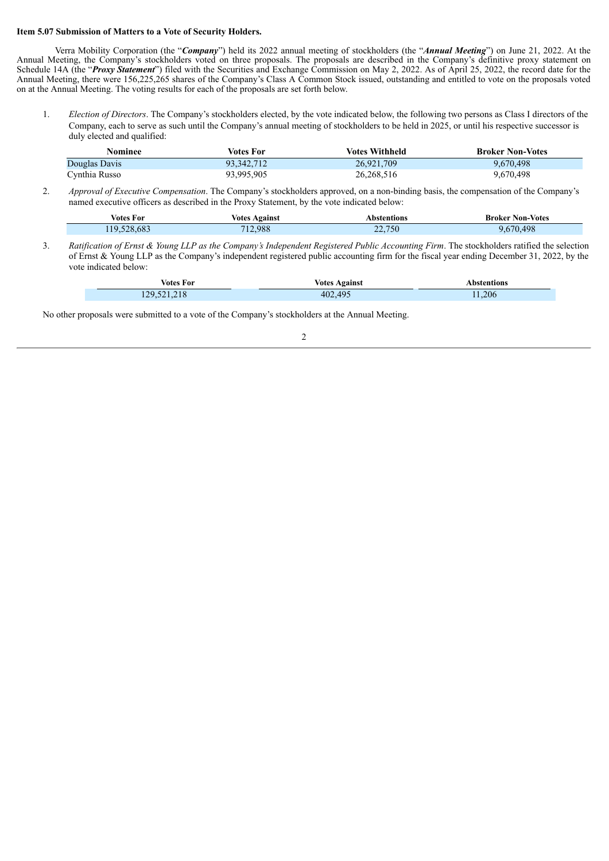#### **Item 5.07 Submission of Matters to a Vote of Security Holders.**

Verra Mobility Corporation (the "*Company*") held its 2022 annual meeting of stockholders (the "*Annual Meeting*") on June 21, 2022. At the Annual Meeting, the Company's stockholders voted on three proposals. The proposals are described in the Company's definitive proxy statement on Schedule 14A (the "*Proxy Statement*") filed with the Securities and Exchange Commission on May 2, 2022. As of April 25, 2022, the record date for the Annual Meeting, there were 156,225,265 shares of the Company's Class A Common Stock issued, outstanding and entitled to vote on the proposals voted on at the Annual Meeting. The voting results for each of the proposals are set forth below.

1. *Election of Directors*. The Company's stockholders elected, by the vote indicated below, the following two persons as Class I directors of the Company, each to serve as such until the Company's annual meeting of stockholders to be held in 2025, or until his respective successor is duly elected and qualified:

| Nominee       | Votes For  | Votes Withheld | <b>Broker Non-Votes</b> |
|---------------|------------|----------------|-------------------------|
| Douglas Davis | 93.342.712 | 26,921,709     | 9.670.498               |
| Cynthia Russo | 93,995,905 | 26,268,516     | 9,670,498               |

2. *Approval of Executive Compensation*. The Company's stockholders approved, on a non-binding basis, the compensation of the Company's named executive officers as described in the Proxy Statement, by the vote indicated below:

| votes For    | $\bm{\lambda}$ gains'<br>voter | entions | -Votes<br>Broker<br>Non- |
|--------------|--------------------------------|---------|--------------------------|
| l 1 Q<br>08. | .988                           | 22,750  | 100<br>70                |
|              |                                |         |                          |

3. Ratification of Ernst & Young LLP as the Company's Independent Registered Public Accounting Firm. The stockholders ratified the selection of Ernst & Young LLP as the Company's independent registered public accounting firm for the fiscal year ending December 31, 2022, by the vote indicated below:

| Votes For   | <b>Votes Against</b> | <b>Abstentions</b> |
|-------------|----------------------|--------------------|
| 129,521,218 | 402,495              | 11,206             |

No other proposals were submitted to a vote of the Company's stockholders at the Annual Meeting.

2